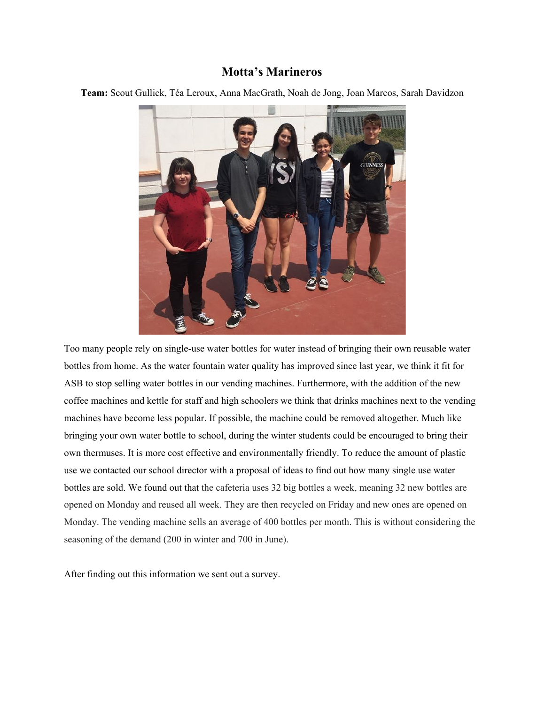## **Motta's Marineros**

**Team:** Scout Gullick, Téa Leroux, Anna MacGrath, Noah de Jong, Joan Marcos, Sarah Davidzon



Too many people rely on single-use water bottles for water instead of bringing their own reusable water bottles from home. As the water fountain water quality has improved since last year, we think it fit for ASB to stop selling water bottles in our vending machines. Furthermore, with the addition of the new coffee machines and kettle for staff and high schoolers we think that drinks machines next to the vending machines have become less popular. If possible, the machine could be removed altogether. Much like bringing your own water bottle to school, during the winter students could be encouraged to bring their own thermuses. It is more cost effective and environmentally friendly. To reduce the amount of plastic use we contacted our school director with a proposal of ideas to find out how many single use water bottles are sold. We found out that the cafeteria uses 32 big bottles a week, meaning 32 new bottles are opened on Monday and reused all week. They are then recycled on Friday and new ones are opened on Monday. The vending machine sells an average of 400 bottles per month. This is without considering the seasoning of the demand (200 in winter and 700 in June).

After finding out this information we sent out a survey.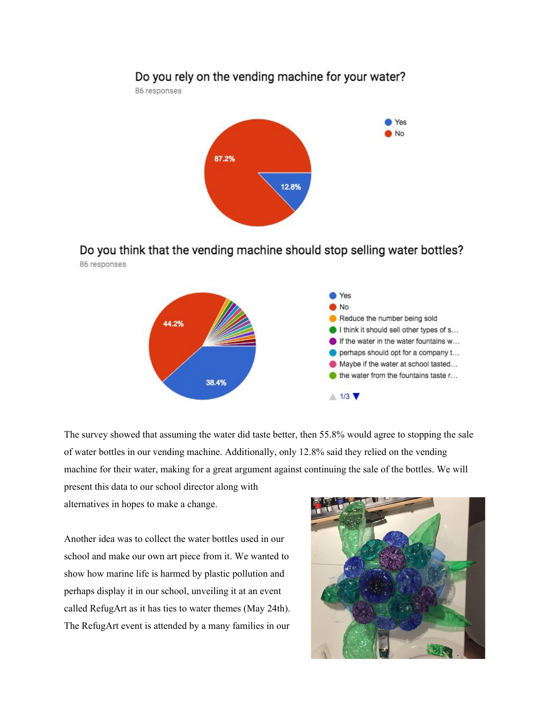

Do you think that the vending machine should stop selling water bottles? 86 responses



The survey showed that assuming the water did taste better, then 55.8% would agree to stopping the sale of water bottles in our vending machine. Additionally, only 12.8% said they relied on the vending machine for their water, making for a great argument against continuing the sale of the bottles. We will present this data to our school director along with

alternatives in hopes to make a change.

Another idea was to collect the water bottles used in our school and make our own art piece from it. We wanted to show how marine life is harmed by plastic pollution and perhaps display it in our school, unveiling it at an event called RefugArt as it has ties to water themes (May 24th). The RefugArt event is attended by a many families in our